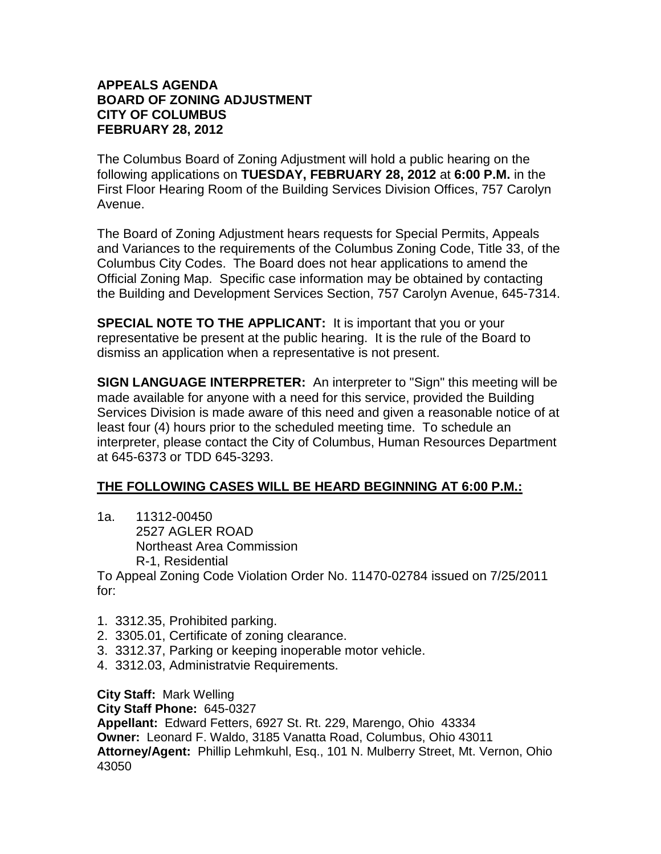## **APPEALS AGENDA BOARD OF ZONING ADJUSTMENT CITY OF COLUMBUS FEBRUARY 28, 2012**

The Columbus Board of Zoning Adjustment will hold a public hearing on the following applications on **TUESDAY, FEBRUARY 28, 2012** at **6:00 P.M.** in the First Floor Hearing Room of the Building Services Division Offices, 757 Carolyn Avenue.

The Board of Zoning Adjustment hears requests for Special Permits, Appeals and Variances to the requirements of the Columbus Zoning Code, Title 33, of the Columbus City Codes. The Board does not hear applications to amend the Official Zoning Map. Specific case information may be obtained by contacting the Building and Development Services Section, 757 Carolyn Avenue, 645-7314.

**SPECIAL NOTE TO THE APPLICANT:** It is important that you or your representative be present at the public hearing. It is the rule of the Board to dismiss an application when a representative is not present.

**SIGN LANGUAGE INTERPRETER:** An interpreter to "Sign" this meeting will be made available for anyone with a need for this service, provided the Building Services Division is made aware of this need and given a reasonable notice of at least four (4) hours prior to the scheduled meeting time. To schedule an interpreter, please contact the City of Columbus, Human Resources Department at 645-6373 or TDD 645-3293.

## **THE FOLLOWING CASES WILL BE HEARD BEGINNING AT 6:00 P.M.:**

1a. 11312-00450 2527 AGLER ROAD Northeast Area Commission R-1, Residential

To Appeal Zoning Code Violation Order No. 11470-02784 issued on 7/25/2011 for:

- 1. 3312.35, Prohibited parking.
- 2. 3305.01, Certificate of zoning clearance.
- 3. 3312.37, Parking or keeping inoperable motor vehicle.
- 4. 3312.03, Administratvie Requirements.

**City Staff:** Mark Welling

**City Staff Phone:** 645-0327

**Appellant:** Edward Fetters, 6927 St. Rt. 229, Marengo, Ohio 43334 **Owner:** Leonard F. Waldo, 3185 Vanatta Road, Columbus, Ohio 43011 **Attorney/Agent:** Phillip Lehmkuhl, Esq., 101 N. Mulberry Street, Mt. Vernon, Ohio 43050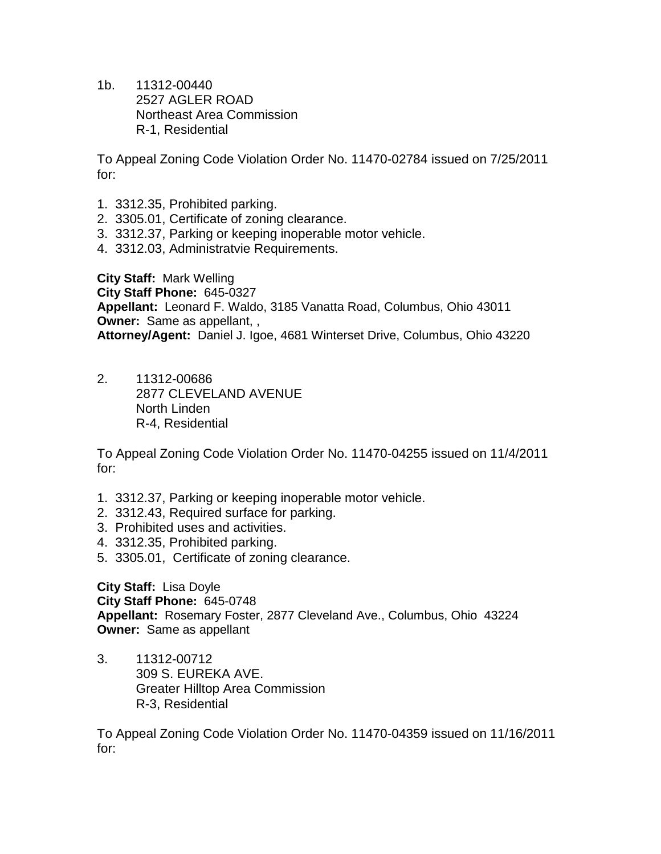1b. 11312-00440 2527 AGLER ROAD Northeast Area Commission R-1, Residential

To Appeal Zoning Code Violation Order No. 11470-02784 issued on 7/25/2011 for:

- 1. 3312.35, Prohibited parking.
- 2. 3305.01, Certificate of zoning clearance.
- 3. 3312.37, Parking or keeping inoperable motor vehicle.
- 4. 3312.03, Administratvie Requirements.

**City Staff:** Mark Welling **City Staff Phone:** 645-0327 **Appellant:** Leonard F. Waldo, 3185 Vanatta Road, Columbus, Ohio 43011 **Owner:** Same as appellant, , **Attorney/Agent:** Daniel J. Igoe, 4681 Winterset Drive, Columbus, Ohio 43220

2. 11312-00686 2877 CLEVELAND AVENUE North Linden R-4, Residential

To Appeal Zoning Code Violation Order No. 11470-04255 issued on 11/4/2011 for:

- 1. 3312.37, Parking or keeping inoperable motor vehicle.
- 2. 3312.43, Required surface for parking.
- 3. Prohibited uses and activities.
- 4. 3312.35, Prohibited parking.
- 5. 3305.01, Certificate of zoning clearance.

**City Staff:** Lisa Doyle **City Staff Phone:** 645-0748 **Appellant:** Rosemary Foster, 2877 Cleveland Ave., Columbus, Ohio 43224 **Owner:** Same as appellant

3. 11312-00712 309 S. EUREKA AVE. Greater Hilltop Area Commission R-3, Residential

To Appeal Zoning Code Violation Order No. 11470-04359 issued on 11/16/2011 for: